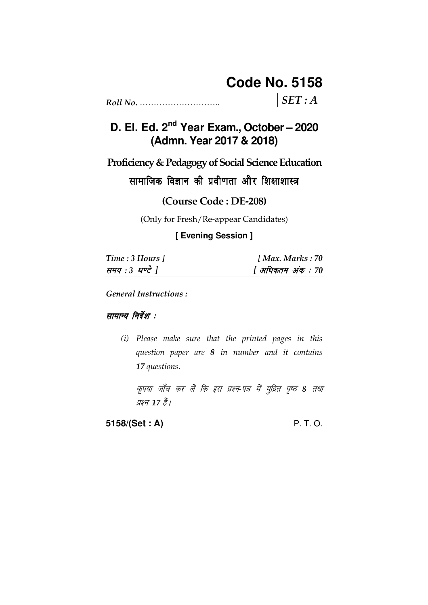# **Code No. 5158**

 $SET: A$ 

# D. El. Ed. 2<sup>nd</sup> Year Exam., October - 2020 (Admn. Year 2017 & 2018)

Proficiency & Pedagogy of Social Science Education

सामाजिक विज्ञान की प्रवीणता और शिक्षाशास्त्र

(Course Code: DE-208)

(Only for Fresh/Re-appear Candidates)

[ Evening Session ]

| Time: 3 Hours 1 | [Max. Marks: 70   |
|-----------------|-------------------|
| समय : 3 घण्टे ] | [ अधिकतम अंक : 70 |

**General Instructions:** 

सामान्य निर्देश :

(i) Please make sure that the printed pages in this question paper are 8 in number and it contains 17 questions.

कृपया जाँच कर लें कि इस प्रश्न-पत्र में मुद्रित पृष्ठ 8 तथा प्रश्न 17 हैं।

5158/(Set: A)

P. T. O.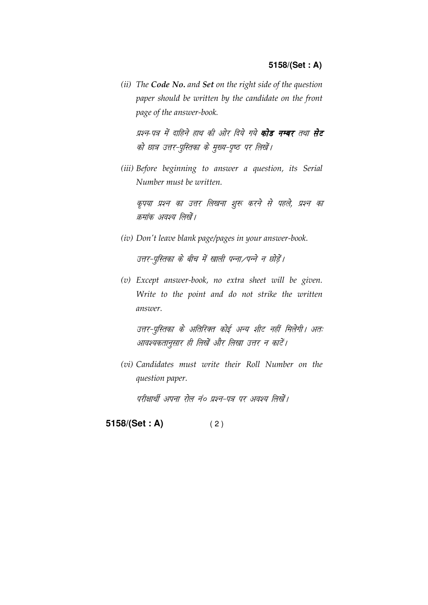(ii) The Code No. and Set on the right side of the question paper should be written by the candidate on the front page of the answer-book.

प्रश्न-पत्र में दाहिने हाथ की ओर दिये गये **कोड नम्बर** तथा **सेट** को छात्र उत्तर-पुस्तिका के मुख्य-पृष्ठ पर लिखें।

(iii) Before beginning to answer a question, its Serial Number must be written.

कृपया प्रश्न का उत्तर लिखना शुरू करने से पहले, प्रश्न का क्रमांक अवश्य लिखें।

(iv) Don't leave blank page/pages in your answer-book.

उत्तर-पुस्तिका के बीच में खाली पन्ना/पन्ने न छोड़ें।

(v) Except answer-book, no extra sheet will be given. Write to the point and do not strike the written answer.

उत्तर-पुस्तिका के अतिरिक्त कोई अन्य शीट नहीं मिलेगी। अतः आवश्यकतानुसार ही लिखें और लिखा उत्तर न काटें।

(vi) Candidates must write their Roll Number on the question paper.

परीक्षार्थी अपना रोल नं० प्रश्न-पत्र पर अवश्य लिखें।

5158/(Set: A)  $(2)$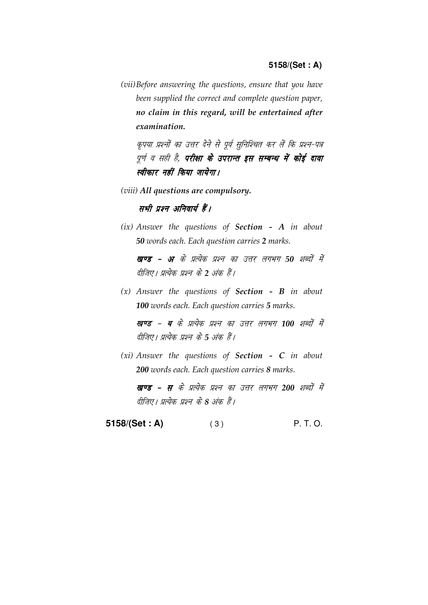(vii) Before answering the questions, ensure that you have been supplied the correct and complete question paper, no claim in this regard, will be entertained after examination.

कृपया प्रश्नों का उत्तर देने से पूर्व सुनिश्चित कर लें कि प्रश्न-पत्र पूर्ण व सही है, **परीक्षा के उपरान्त इस सम्बन्ध में कोई दावा** स्वीकार नहीं किया जायेगा।

(viii) All questions are compulsory.

सभी प्रश्न अनिवार्य हैं।

 $(ix)$  Answer the questions of Section - A in about 50 words each. Each question carries 2 marks.

खण्ड - अ के प्रत्येक प्रश्न का उत्तर लगभग 50 शब्दों में दीजिए। प्रत्येक प्रश्न के 2 अंक हैं।

 $(x)$  Answer the questions of **Section - B** in about 100 words each. Each question carries 5 marks.

खण्ड - ब के प्रत्येक प्रश्न का उत्तर लगभग 100 शब्दों में दीजिए। प्रत्येक प्रश्न के 5 अंक हैं।

 $(xi)$  Answer the questions of Section - C in about 200 words each. Each question carries 8 marks.

खण्ड - स के प्रत्येक प्रश्न का उत्तर लगभग 200 शब्दों में दीजिए। प्रत्येक प्रश्न के 8 अंक हैं।

**5158/(Set : A)** ( 3 ) P. T. O.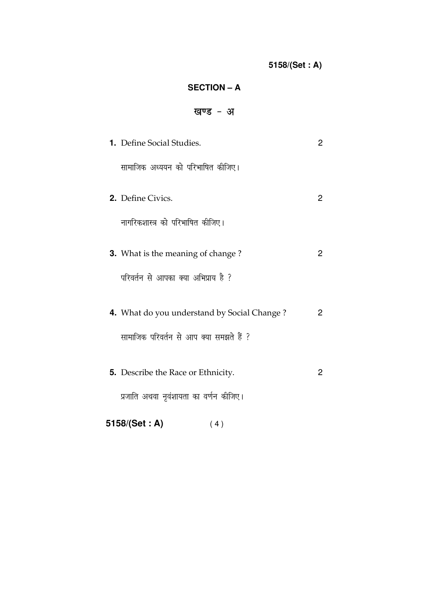## **SECTION – A**

# खण्ड - अ

| <b>1.</b> Define Social Studies.            | 2            |
|---------------------------------------------|--------------|
| सामाजिक अध्ययन को परिभाषित कीजिए।           |              |
| 2. Define Civics.                           | $\mathbf{2}$ |
| नागरिकशास्त्र को परिभाषित कीजिए।            |              |
| <b>3.</b> What is the meaning of change?    | 2            |
| परिवर्तन से आपका क्या अभिप्राय है ?         |              |
| 4. What do you understand by Social Change? | $\mathbf{2}$ |
| सामाजिक परिवर्तन से आप क्या समझते हैं ?     |              |
| <b>5.</b> Describe the Race or Ethnicity.   | 2            |
| प्रजाति अथवा नृवंशायता का वर्णन कीजिए।      |              |
| 5158/(Set: A)<br>(4)                        |              |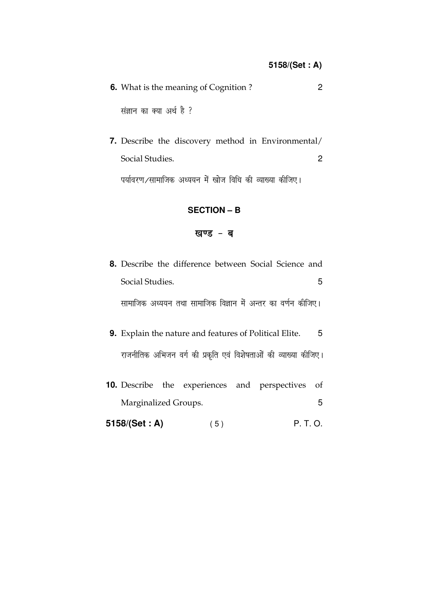| <b>6.</b> What is the meaning of Cognition? |  |
|---------------------------------------------|--|
| संज्ञान का क्या अर्थ है ?                   |  |

7. Describe the discovery method in Environmental/ Social Studies.  $\overline{2}$ पर्यावरण/सामाजिक अध्ययन में खोज विधि की व्याख्या कीजिए।

#### **SECTION - B**

#### खण्ड - ब

|                 | <b>8.</b> Describe the difference between Social Science and |  |  |
|-----------------|--------------------------------------------------------------|--|--|
| Social Studies. |                                                              |  |  |
|                 | सामाजिक अध्ययन तथा सामाजिक विज्ञान में अन्तर का वर्णन कीजिए। |  |  |

- 9. Explain the nature and features of Political Elite.  $-5$ राजनीतिक अभिजन वर्ग की प्रकृति एवं विशेषताओं की व्याख्या कीजिए।
- 10. Describe the experiences and perspectives of Marginalized Groups. 5
- 5158/(Set: A) P. T. O.  $(5)$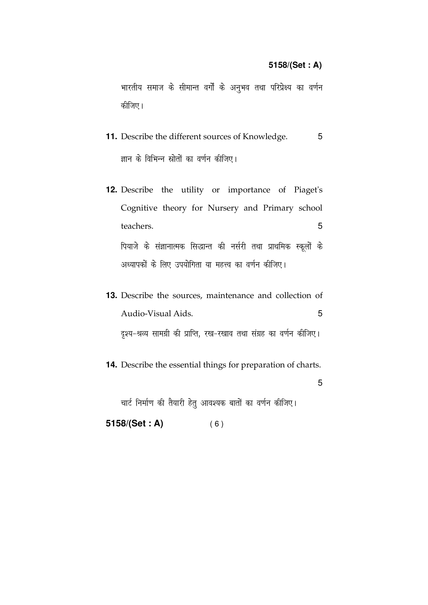#### 5158/(Set: A)

भारतीय समाज के सीमान्त वर्गों के अनुभव तथा परिप्रेक्ष्य का वर्णन कीजिए।

- 11. Describe the different sources of Knowledge.  $5\phantom{.0}$ ज्ञान के विभिन्न स्रोतों का वर्णन कीजिए।
- 12. Describe the utility or importance of Piaget's Cognitive theory for Nursery and Primary school 5 teachers. पियाजे के संज्ञानात्मक सिद्धान्त की नर्सरी तथा प्राथमिक स्कूलों के अध्यापकों के लिए उपयोगिता या महत्त्व का वर्णन कीजिए।
- 13. Describe the sources, maintenance and collection of Audio-Visual Aids. 5 दृश्य-श्रव्य सामग्री की प्राप्ति, रख-रखाव तथा संग्रह का वर्णन कीजिए।
- 14. Describe the essential things for preparation of charts.

5

चार्ट निर्माण की तैयारी हेतु आवश्यक बातों का वर्णन कीजिए।

5158/(Set: A)  $(6)$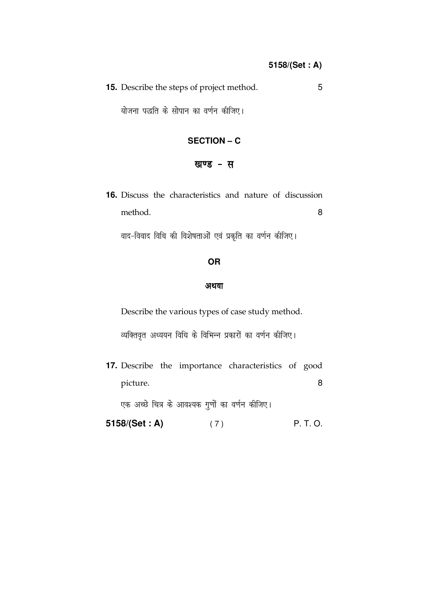| <b>15.</b> Describe the steps of project method. |  |
|--------------------------------------------------|--|
|                                                  |  |

योजना पद्धति के सोपान का वर्णन कीजिए।

### **SECTION – C**

### खण्ड - स

**16.** Discuss the characteristics and nature of discussion method. 8

वाद-विवाद विधि की विशेषताओं एवं प्रकृति का वर्णन कीजिए।

#### **OR**

#### अथवा

Describe the various types of case study method.

व्यक्तिवृत अध्ययन विधि के विभिन्न प्रकारों का वर्णन कीजिए।

**17.** Describe the importance characteristics of good picture. 8

एक अच्छे चित्र के आवश्यक गुणों का वर्णन कीजिए।

**5158/(Set : A)** (7) P. T. O.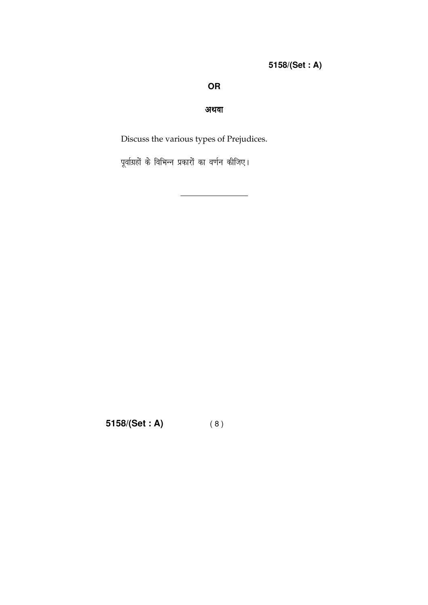## **OR**

### अथवा

Discuss the various types of Prejudices.

पूर्वाग्रहों के विभिन्न प्रकारों का वर्णन कीजिए।

5158/(Set: A)  $(8)$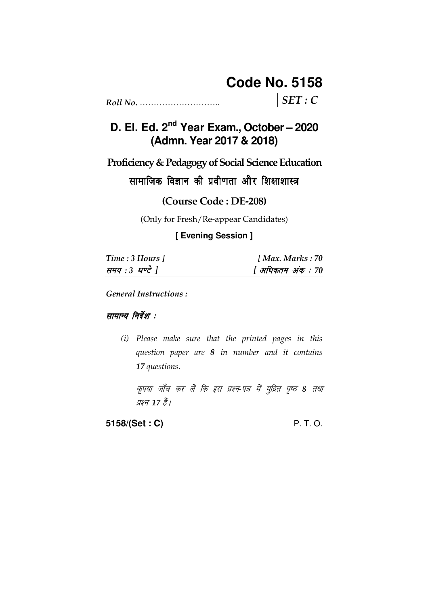# **Code No. 5158**

 $SET: C$ 

# D. El. Ed. 2<sup>nd</sup> Year Exam., October - 2020 (Admn. Year 2017 & 2018)

Proficiency & Pedagogy of Social Science Education

सामाजिक विज्ञान की प्रवीणता और शिक्षाशास्त्र

(Course Code: DE-208)

(Only for Fresh/Re-appear Candidates)

[ Evening Session ]

| Time: 3 Hours 1 | [Max. Marks: 70   |
|-----------------|-------------------|
| समय : 3 घण्टे ] | [ अधिकतम अंक : 70 |

**General Instructions:** 

सामान्य निर्देश :

(i) Please make sure that the printed pages in this question paper are 8 in number and it contains 17 questions.

कृपया जाँच कर लें कि इस प्रश्न-पत्र में मुद्रित पृष्ठ 8 तथा प्रश्न 17 हैं।

5158/(Set: C)

P. T. O.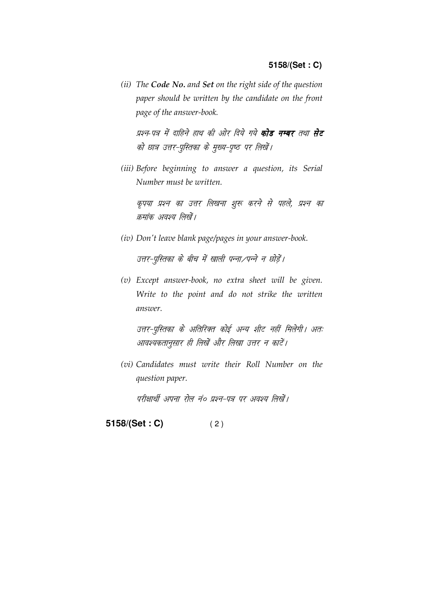(ii) The Code No. and Set on the right side of the question paper should be written by the candidate on the front page of the answer-book.

प्रश्न-पत्र में दाहिने हाथ की ओर दिये गये **कोड नम्बर** तथा **सेट** को छात्र उत्तर-पुस्तिका के मुख्य-पृष्ठ पर लिखें।

(iii) Before beginning to answer a question, its Serial Number must be written.

कृपया प्रश्न का उत्तर लिखना शुरू करने से पहले, प्रश्न का क्रमांक अवश्य लिखें।

(iv) Don't leave blank page/pages in your answer-book.

उत्तर-पुस्तिका के बीच में खाली पन्ना/पन्ने न छोड़ें।

(v) Except answer-book, no extra sheet will be given. Write to the point and do not strike the written answer.

उत्तर-पुस्तिका के अतिरिक्त कोई अन्य शीट नहीं मिलेगी। अतः आवश्यकतानुसार ही लिखें और लिखा उत्तर न काटें।

(vi) Candidates must write their Roll Number on the question paper.

परीक्षार्थी अपना रोल नं० प्रश्न-पत्र पर अवश्य लिखें।

5158/(Set: C)  $(2)$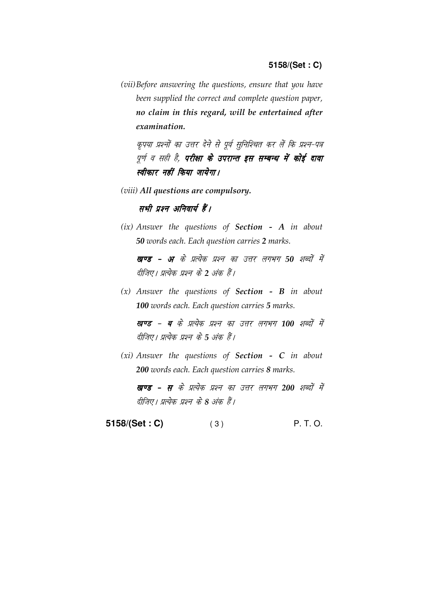(vii) Before answering the questions, ensure that you have been supplied the correct and complete question paper, no claim in this regard, will be entertained after examination.

कृपया प्रश्नों का उत्तर देने से पूर्व सुनिश्चित कर लें कि प्रश्न-पत्र पूर्ण व सही है, **परीक्षा के उपरान्त इस सम्बन्ध में कोई दावा** स्वीकार नहीं किया जायेगा।

(viii) All questions are compulsory.

सभी प्रश्न अनिवार्य हैं।

 $(ix)$  Answer the questions of Section - A in about 50 words each. Each question carries 2 marks.

खण्ड - अ के प्रत्येक प्रश्न का उत्तर लगभग 50 शब्दों में दीजिए। प्रत्येक प्रश्न के 2 अंक हैं।

 $(x)$  Answer the questions of **Section - B** in about 100 words each. Each question carries 5 marks.

खण्ड - ब के प्रत्येक प्रश्न का उत्तर लगभग 100 शब्दों में दीजिए। प्रत्येक प्रश्न के 5 अंक हैं।

 $(xi)$  Answer the questions of Section - C in about 200 words each. Each question carries 8 marks.

खण्ड - स के प्रत्येक प्रश्न का उत्तर लगभग 200 शब्दों में दीजिए। प्रत्येक प्रश्न के 8 अंक हैं।

**5158/(Set : C)** ( 3 ) P. T. O.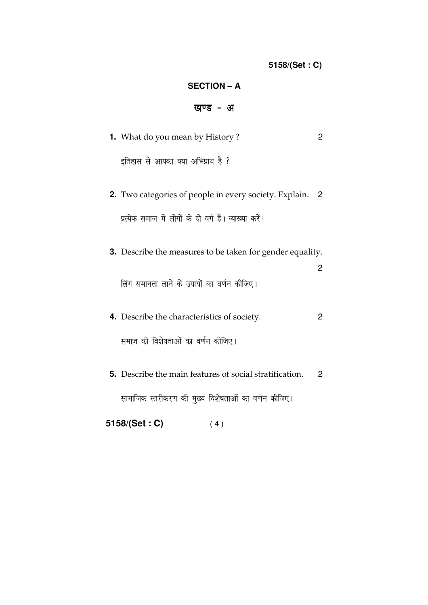### **SECTION – A**

## खण्ड - अ

| <b>1.</b> What do you mean by History?                           |                |
|------------------------------------------------------------------|----------------|
| इतिहास से आपका क्या अभिप्राय है ?                                |                |
| <b>2.</b> Two categories of people in every society. Explain.    | $\overline{2}$ |
| प्रत्येक समाज में लोगों के दो वर्ग हैं। व्याख्या करें।           |                |
| <b>3.</b> Describe the measures to be taken for gender equality. |                |
| लिंग समानता लाने के उपायों का वर्णन कीजिए।                       |                |

- **4.** Describe the characteristics of society. 2 समाज की विशेषताओं का वर्णन कीजिए।
- **5.** Describe the main features of social stratification. 2 सामाजिक स्तरीकरण की मुख्य विशेषताओं का वर्णन कीजिए।

**5158/(Set : C)** ( 4 )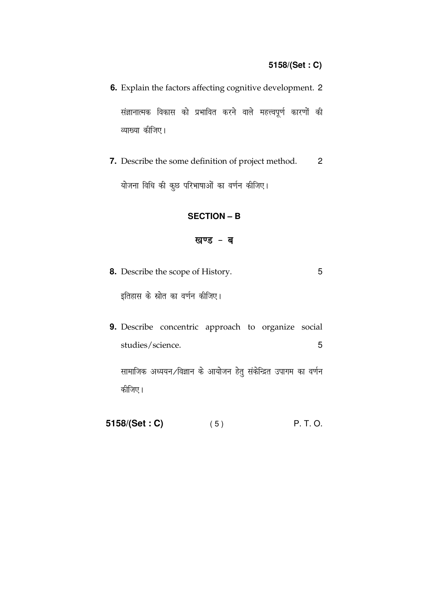6. Explain the factors affecting cognitive development. 2 संज्ञानात्मक विकास को प्रभावित करने वाले महत्त्वपूर्ण कारणों की व्याख्या कीजिए।

7. Describe the some definition of project method.  $\overline{2}$ योजना विधि की कूछ परिभाषाओं का वर्णन कीजिए।

#### **SECTION - B**

#### खण्ड - ब

8. Describe the scope of History. 5

इतिहास के स्रोत का वर्णन कीजिए।

9. Describe concentric approach to organize social studies/science. 5

सामाजिक अध्ययन ⁄विज्ञान के आयोजन हेतु संकेन्द्रित उपागम का वर्णन कीजिए।

5158/(Set: C) P. T. O.  $(5)$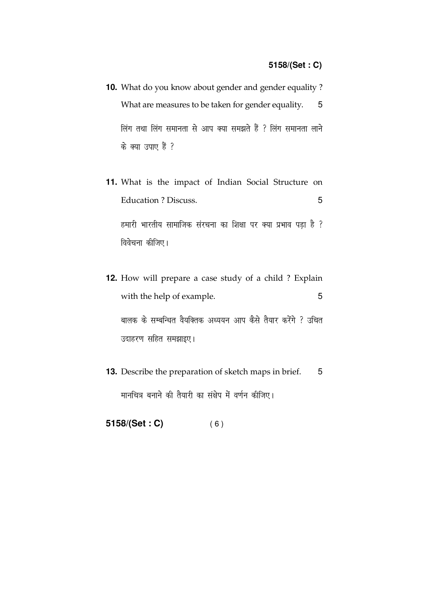- **10.** What do you know about gender and gender equality ? What are measures to be taken for gender equality. 5 लिंग तथा लिंग समानता से आप क्या समझते हैं ? लिंग समानता लाने के क्या उपाए हैं ?
- **11.** What is the impact of Indian Social Structure on Education ? Discuss. 5 हमारी भारतीय सामाजिक संरचना का शिक्षा पर क्या प्रभाव पड़ा है ? विवेचना कीजिए।
- **12.** How will prepare a case study of a child ? Explain with the help of example. 5 बालक के सम्बन्धित वैयक्तिक अध्ययन आप कैसे तैयार करेंगे ? उचित उदाहरण सहित समझाइए।
- **13.** Describe the preparation of sketch maps in brief. 5 मानचित्र बनाने की तैयारी का संक्षेप में वर्णन कीजिए।
- **5158/(Set : C)** ( 6 )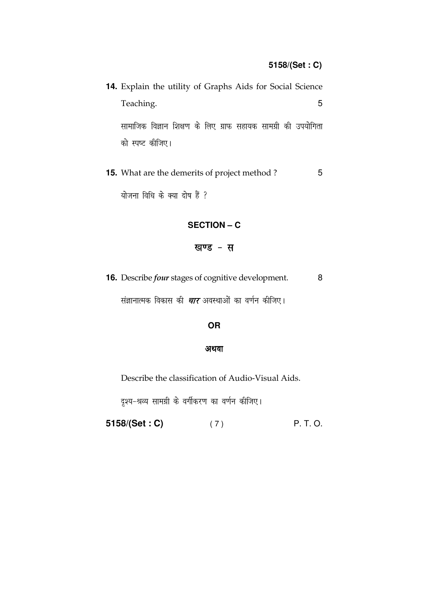| 14. Explain the utility of Graphs Aids for Social Science     |  |  |  |  |  |   |
|---------------------------------------------------------------|--|--|--|--|--|---|
| Teaching.                                                     |  |  |  |  |  | 5 |
| सामाजिक विज्ञान शिक्षण के लिए ग्राफ सहायक सामग्री की उपयोगिता |  |  |  |  |  |   |
| को स्पष्ट कीजिए।                                              |  |  |  |  |  |   |

15. What are the demerits of project method?  $5\phantom{.0}$ योजना विधि के क्या दोष हैं ?

### **SECTION - C**

## खण्ड - स

16. Describe *four* stages of cognitive development.  $\,8\,$ 

संज्ञानात्मक विकास की *चार* अवस्थाओं का वर्णन कीजिए।

#### OR

#### अथवा

Describe the classification of Audio-Visual Aids.

दृश्य-श्रव्य सामग्री के वर्गीकरण का वर्णन कीजिए।

P. T. O. 5158/(Set: C)  $(7)$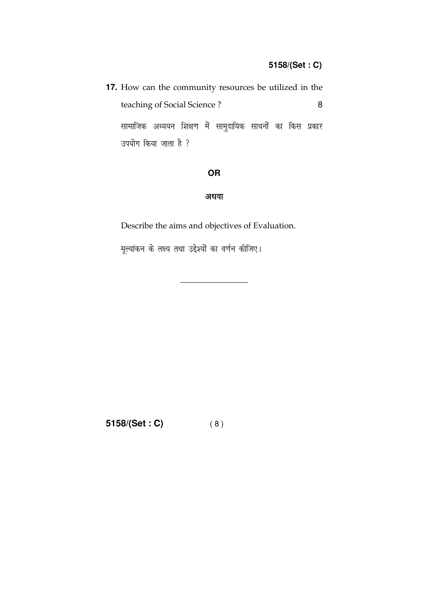|                             |   | <b>17.</b> How can the community resources be utilized in the |  |  |  |
|-----------------------------|---|---------------------------------------------------------------|--|--|--|
| teaching of Social Science? | R |                                                               |  |  |  |
|                             |   | सामाजिक अध्ययन शिक्षण में सामुदायिक साधनों का किस प्रकार      |  |  |  |
| उपयोग किया जाता है ?        |   |                                                               |  |  |  |

## OR

# अथवा

Describe the aims and objectives of Evaluation.

मूल्यांकन के लक्ष्य तथा उद्देश्यों का वर्णन कीजिए।

 $5158/(Set : C)$  (8)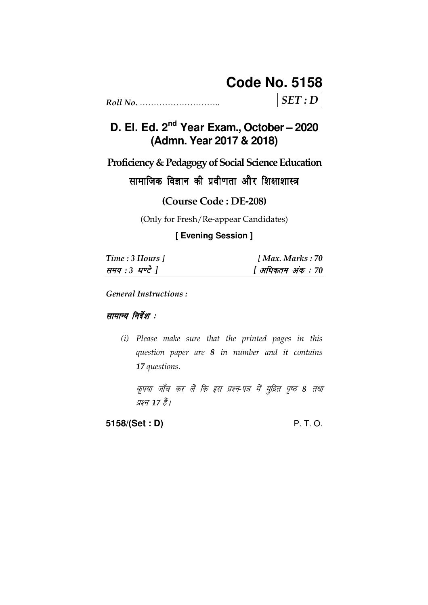# **Code No. 5158**

 $SET: D$ 

D. El. Ed. 2<sup>nd</sup> Year Exam., October - 2020 (Admn. Year 2017 & 2018)

Proficiency & Pedagogy of Social Science Education

सामाजिक विज्ञान की प्रवीणता और शिक्षाशास्त्र

(Course Code: DE-208)

(Only for Fresh/Re-appear Candidates)

[ Evening Session ]

| Time: 3 Hours 1 | [Max. Marks: 70   |
|-----------------|-------------------|
| समय : 3 घण्टे ] | [ अधिकतम अंक : 70 |

**General Instructions:** 

सामान्य निर्देश :

(i) Please make sure that the printed pages in this question paper are 8 in number and it contains 17 questions.

कृपया जाँच कर लें कि इस प्रश्न-पत्र में मुद्रित पृष्ठ 8 तथा प्रश्न 17 हैं।

5158/(Set: D)

P. T. O.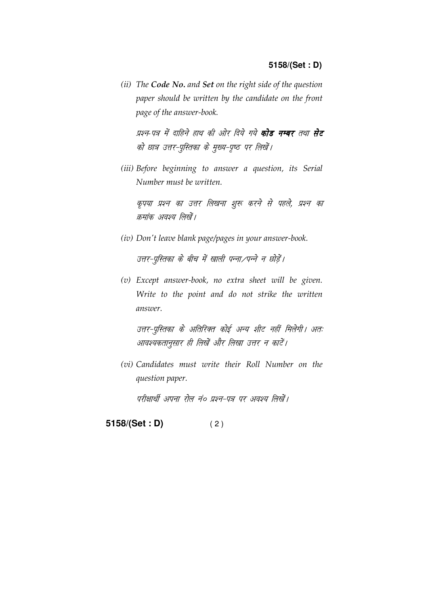(ii) The Code No. and Set on the right side of the question paper should be written by the candidate on the front page of the answer-book.

प्रश्न-पत्र में दाहिने हाथ की ओर दिये गये **कोड नम्बर** तथा **सेट** को छात्र उत्तर-पुस्तिका के मुख्य-पृष्ठ पर लिखें।

(iii) Before beginning to answer a question, its Serial Number must be written.

कृपया प्रश्न का उत्तर लिखना शुरू करने से पहले, प्रश्न का क्रमांक अवश्य लिखें।

(iv) Don't leave blank page/pages in your answer-book.

उत्तर-पुस्तिका के बीच में खाली पन्ना/पन्ने न छोड़ें।

(v) Except answer-book, no extra sheet will be given. Write to the point and do not strike the written answer.

उत्तर-पुस्तिका के अतिरिक्त कोई अन्य शीट नहीं मिलेगी। अतः आवश्यकतानुसार ही लिखें और लिखा उत्तर न काटें।

(vi) Candidates must write their Roll Number on the question paper.

परीक्षार्थी अपना रोल नं० प्रश्न-पत्र पर अवश्य लिखें।

5158/(Set: D)  $(2)$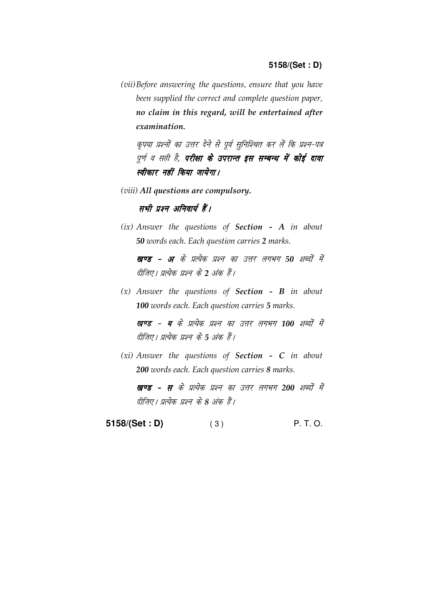(vii) Before answering the questions, ensure that you have been supplied the correct and complete question paper, no claim in this regard, will be entertained after examination.

कृपया प्रश्नों का उत्तर देने से पूर्व सुनिश्चित कर लें कि प्रश्न-पत्र पूर्ण व सही है, **परीक्षा के उपरान्त इस सम्बन्ध में कोई दावा** स्वीकार नहीं किया जायेगा।

(viii) All questions are compulsory.

सभी प्रश्न अनिवार्य हैं।

 $(ix)$  Answer the questions of Section - A in about 50 words each. Each question carries 2 marks.

खण्ड - अ के प्रत्येक प्रश्न का उत्तर लगभग 50 शब्दों में दीजिए। प्रत्येक प्रश्न के 2 अंक हैं।

 $(x)$  Answer the questions of **Section - B** in about 100 words each. Each question carries 5 marks.

खण्ड - ब के प्रत्येक प्रश्न का उत्तर लगभग 100 शब्दों में दीजिए। प्रत्येक प्रश्न के 5 अंक हैं।

 $(xi)$  Answer the questions of Section - C in about 200 words each. Each question carries 8 marks.

खण्ड - स के प्रत्येक प्रश्न का उत्तर लगभग 200 शब्दों में दीजिए। प्रत्येक प्रश्न के 8 अंक हैं।

**5158/(Set : D)** ( 3 ) P. T. O.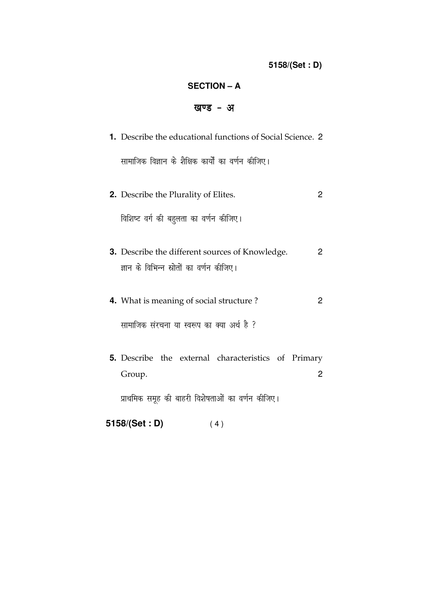# **SECTION – A**

# खण्ड - अ

| 1. Describe the educational functions of Social Science. 2                                  |                |
|---------------------------------------------------------------------------------------------|----------------|
| सामाजिक विज्ञान के शैक्षिक कार्यों का वर्णन कीजिए।                                          |                |
| <b>2.</b> Describe the Plurality of Elites.                                                 | 2              |
| विशिष्ट वर्ग की बहुलता का वर्णन कीजिए।                                                      |                |
| 3. Describe the different sources of Knowledge.<br>ज्ञान के विभिन्न स्रोतों का वर्णन कीजिए। | 2              |
| 4. What is meaning of social structure?                                                     | $\mathbf{2}$   |
| सामाजिक संरचना या स्वरूप का क्या अर्थ है ?                                                  |                |
| <b>5.</b> Describe the external characteristics of Primary<br>Group.                        | $\overline{2}$ |
| प्राथमिक समूह की बाहरी विशेषताओं का वर्णन कीजिए।                                            |                |

**5158/(Set : D)** ( 4 )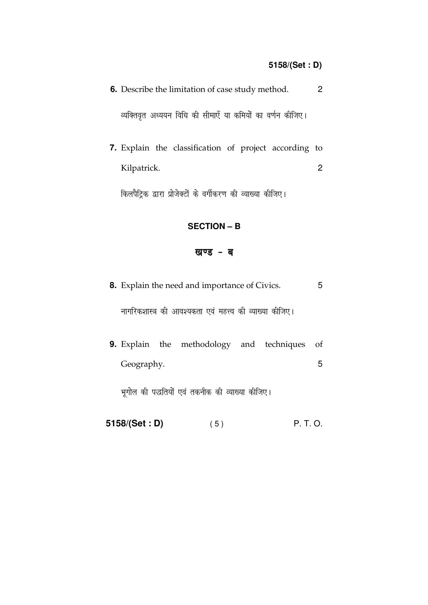| $\overline{2}$<br><b>6.</b> Describe the limitation of case study method. |  |  |  |  |  |  |  |  |
|---------------------------------------------------------------------------|--|--|--|--|--|--|--|--|
| व्यक्तिवृत अध्ययन विधि की सीमाएँ या कमियों का वर्णन कीजिए।                |  |  |  |  |  |  |  |  |
| <b>7.</b> Explain the classification of project according to              |  |  |  |  |  |  |  |  |
| Kilpatrick.                                                               |  |  |  |  |  |  |  |  |

किलपैट्रिक द्वारा प्रोजेक्टों के वर्गीकरण की व्याख्या कीजिए।

#### **SECTION - B**

## खण्ड - ब

- 8. Explain the need and importance of Civics.  $5\phantom{.0}$ नागरिकशास्त्र की आवश्यकता एवं महत्त्व की व्याख्या कीजिए।
- 9. Explain the methodology and techniques of Geography.  $5\phantom{.0}$

भूगोल की पद्धतियों एवं तकनीक की व्याख्या कीजिए।

5158/(Set : D) (5) P. T. O.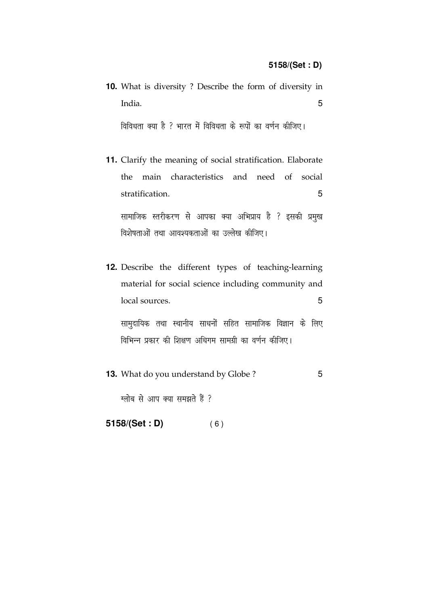|        |  |  |  |  | <b>10.</b> What is diversity? Describe the form of diversity in |    |
|--------|--|--|--|--|-----------------------------------------------------------------|----|
| India. |  |  |  |  |                                                                 | h. |
|        |  |  |  |  | विविधता क्या है ? भारत में विविधता के रूपों का वर्णन कीजिए।     |    |

- **11.** Clarify the meaning of social stratification. Elaborate the main characteristics and need of social stratification. 5 सामाजिक स्तरीकरण से आपका क्या अभिप्राय है ? इसकी प्रमुख विशेषताओं तथा आवश्यकताओं का उल्लेख कीजिए।
- **12.** Describe the different types of teaching-learning material for social science including community and local sources. 5

सामुदायिक तथा स्थानीय साधनों सहित सामाजिक विज्ञान के लिए विभिन्न प्रकार की शिक्षण अधिगम सामग्री का वर्णन कीजिए।

**13.** What do you understand by Globe ? 5

 $\overline{x}$ ग्लोब से आप क्या समझते हैं ?

**5158/(Set : D)** ( 6 )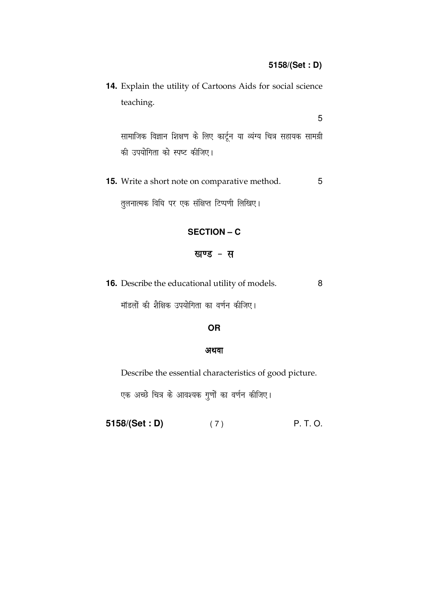14. Explain the utility of Cartoons Aids for social science teaching.

5

सामाजिक विज्ञान शिक्षण के लिए कार्टून या व्यंग्य चित्र सहायक सामग्री की उपयोगिता को स्पष्ट कीजिए।

5 15. Write a short note on comparative method. तुलनात्मक विधि पर एक संक्षिप्त टिप्पणी लिखिए।

### **SECTION - C**

#### खण्ड - स

16. Describe the educational utility of models. 8

मॉडलों की शैक्षिक उपयोगिता का वर्णन कीजिए।

#### **OR**

#### अथवा

Describe the essential characteristics of good picture.

एक अच्छे चित्र के आवश्यक गुणों का वर्णन कीजिए।

5158/(Set: D) P. T. O.  $(7)$